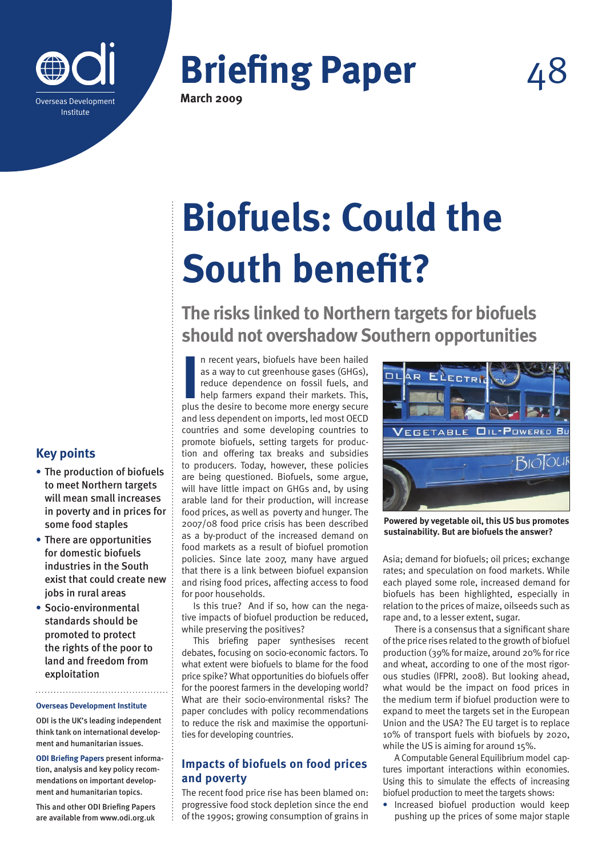

# **Briefing Paper**

**March 2009**

# **Biofuels: Could the South benefit?**

**The risks linked to Northern targets for biofuels should not overshadow Southern opportunities**

In recent years, biofuels have been hailed<br>as a way to cut greenhouse gases (GHGs),<br>reduce dependence on fossil fuels, and<br>help farmers expand their markets. This,<br>plus the desire to become more energy secure n recent years, biofuels have been hailed as a way to cut greenhouse gases (GHGs), reduce dependence on fossil fuels, and help farmers expand their markets. This, and less dependent on imports, led most OECD countries and some developing countries to promote biofuels, setting targets for production and offering tax breaks and subsidies to producers. Today, however, these policies are being questioned. Biofuels, some argue, will have little impact on GHGs and, by using arable land for their production, will increase food prices, as well as poverty and hunger. The 2007/08 food price crisis has been described as a by-product of the increased demand on food markets as a result of biofuel promotion policies. Since late 2007, many have argued that there is a link between biofuel expansion and rising food prices, affecting access to food for poor households.

Is this true? And if so, how can the negative impacts of biofuel production be reduced, while preserving the positives?

This briefing paper synthesises recent debates, focusing on socio-economic factors. To what extent were biofuels to blame for the food price spike? What opportunities do biofuels offer for the poorest farmers in the developing world? What are their socio-environmental risks? The paper concludes with policy recommendations to reduce the risk and maximise the opportunities for developing countries.

### **Impacts of biofuels on food prices and poverty**

The recent food price rise has been blamed on: progressive food stock depletion since the end of the 1990s; growing consumption of grains in



**Powered by vegetable oil, this US bus promotes sustainability. But are biofuels the answer?**

Asia; demand for biofuels; oil prices; exchange rates; and speculation on food markets. While each played some role, increased demand for biofuels has been highlighted, especially in relation to the prices of maize, oilseeds such as rape and, to a lesser extent, sugar.

There is a consensus that a significant share of the price rises related to the growth of biofuel production (39% for maize, around 20% for rice and wheat, according to one of the most rigorous studies (IFPRI, 2008). But looking ahead, what would be the impact on food prices in the medium term if biofuel production were to expand to meet the targets set in the European Union and the USA? The EU target is to replace 10% of transport fuels with biofuels by 2020, while the US is aiming for around 15%.

A Computable General Equilibrium model captures important interactions within economies. Using this to simulate the effects of increasing biofuel production to meet the targets shows:

**•** Increased biofuel production would keep pushing up the prices of some major staple

## **Key points**

- **•** The production of biofuels to meet Northern targets will mean small increases in poverty and in prices for some food staples
- **•** There are opportunities for domestic biofuels industries in the South exist that could create new jobs in rural areas
- **•** Socio-environmental standards should be promoted to protect the rights of the poor to land and freedom from exploitation

#### **Overseas Development Institute**

ODI is the UK's leading independent think tank on international development and humanitarian issues.

**ODI Briefing Papers** present information, analysis and key policy recommendations on important development and humanitarian topics.

This and other ODI Briefing Papers are available from www.odi.org.uk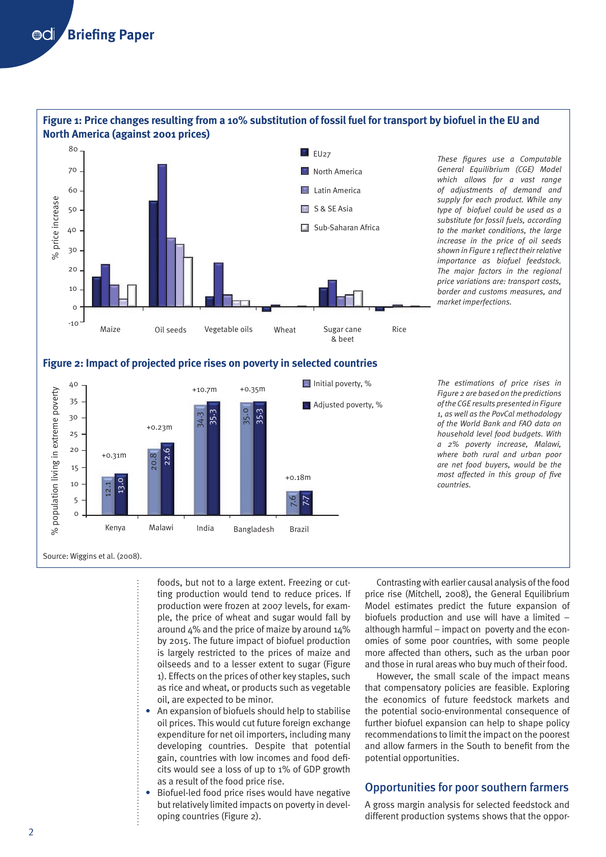

# **Figure 1: Price changes resulting from a 10% substitution of fossil fuel for transport by biofuel in the EU and**





*The estimations of price rises in Figure 2 are based on the predictions of the CGE results presented in Figure 1, as well as the PovCal methodology of the World Bank and FAO data on household level food budgets. With a 2% poverty increase, Malawi, where both rural and urban poor are net food buyers, would be the most affected in this group of five countries.*

Source: Wiggins et al. (2008).

foods, but not to a large extent. Freezing or cutting production would tend to reduce prices. If production were frozen at 2007 levels, for example, the price of wheat and sugar would fall by around 4% and the price of maize by around 14% by 2015. The future impact of biofuel production is largely restricted to the prices of maize and oilseeds and to a lesser extent to sugar (Figure 1). Effects on the prices of other key staples, such as rice and wheat, or products such as vegetable oil, are expected to be minor.

- **•** An expansion of biofuels should help to stabilise oil prices. This would cut future foreign exchange expenditure for net oil importers, including many developing countries. Despite that potential gain, countries with low incomes and food deficits would see a loss of up to 1% of GDP growth as a result of the food price rise.
- **•** Biofuel-led food price rises would have negative but relatively limited impacts on poverty in developing countries (Figure 2).

Contrasting with earlier causal analysis of the food price rise (Mitchell, 2008), the General Equilibrium Model estimates predict the future expansion of biofuels production and use will have a limited – although harmful – impact on poverty and the economies of some poor countries, with some people more affected than others, such as the urban poor and those in rural areas who buy much of their food.

However, the small scale of the impact means that compensatory policies are feasible. Exploring the economics of future feedstock markets and the potential socio-environmental consequence of further biofuel expansion can help to shape policy recommendations to limit the impact on the poorest and allow farmers in the South to benefit from the potential opportunities.

### Opportunities for poor southern farmers

A gross margin analysis for selected feedstock and different production systems shows that the oppor-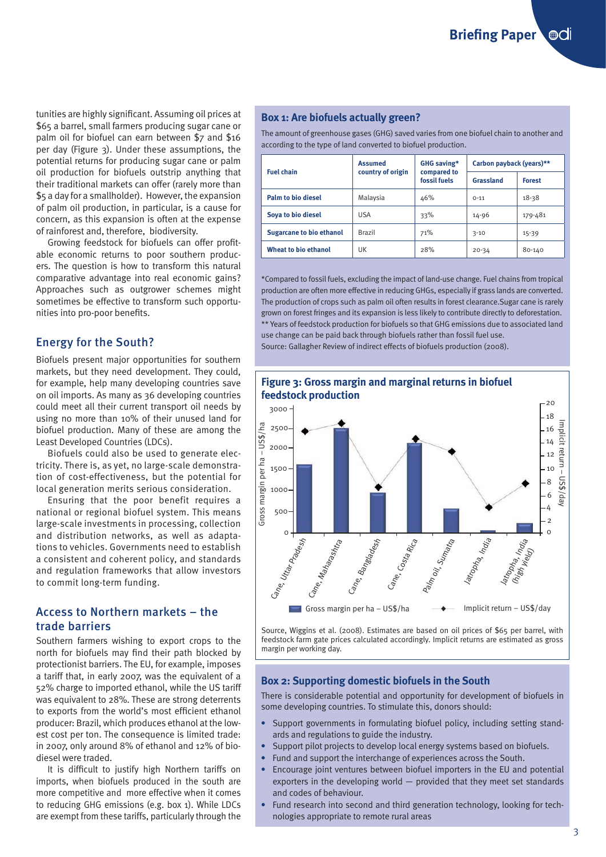**Briefing Paper** . @ai

tunities are highly significant. Assuming oil prices at \$65 a barrel, small farmers producing sugar cane or palm oil for biofuel can earn between \$7 and \$16 per day (Figure 3). Under these assumptions, the potential returns for producing sugar cane or palm oil production for biofuels outstrip anything that their traditional markets can offer (rarely more than \$5 a day for a smallholder). However, the expansion of palm oil production, in particular, is a cause for concern, as this expansion is often at the expense of rainforest and, therefore, biodiversity.

Growing feedstock for biofuels can offer profitable economic returns to poor southern producers. The question is how to transform this natural comparative advantage into real economic gains? Approaches such as outgrower schemes might sometimes be effective to transform such opportunities into pro-poor benefits.

#### Energy for the South?

Biofuels present major opportunities for southern markets, but they need development. They could, for example, help many developing countries save on oil imports. As many as 36 developing countries could meet all their current transport oil needs by using no more than 10% of their unused land for biofuel production. Many of these are among the Least Developed Countries (LDCs).

Biofuels could also be used to generate electricity. There is, as yet, no large-scale demonstration of cost-effectiveness, but the potential for local generation merits serious consideration.

Ensuring that the poor benefit requires a national or regional biofuel system. This means large-scale investments in processing, collection and distribution networks, as well as adaptations to vehicles. Governments need to establish a consistent and coherent policy, and standards and regulation frameworks that allow investors to commit long-term funding.

#### Access to Northern markets – the trade barriers

Southern farmers wishing to export crops to the north for biofuels may find their path blocked by protectionist barriers. The EU, for example, imposes a tariff that, in early 2007, was the equivalent of a 52% charge to imported ethanol, while the US tariff was equivalent to 28%. These are strong deterrents to exports from the world's most efficient ethanol producer: Brazil, which produces ethanol at the lowest cost per ton. The consequence is limited trade: in 2007, only around 8% of ethanol and 12% of biodiesel were traded.

It is difficult to justify high Northern tariffs on imports, when biofuels produced in the south are more competitive and more effective when it comes to reducing GHG emissions (e.g. box 1). While LDCs are exempt from these tariffs, particularly through the

#### **Box 1: Are biofuels actually green?**

The amount of greenhouse gases (GHG) saved varies from one biofuel chain to another and according to the type of land converted to biofuel production.

| <b>Fuel chain</b>               | <b>Assumed</b><br>country of origin | GHG saving*<br>compared to<br>fossil fuels | Carbon payback (years)** |               |
|---------------------------------|-------------------------------------|--------------------------------------------|--------------------------|---------------|
|                                 |                                     |                                            | Grassland                | <b>Forest</b> |
| <b>Palm to bio diesel</b>       | Malaysia                            | 46%                                        | $O-11$                   | $18 - 38$     |
| Sova to bio diesel              | USA                                 | 33%                                        | $14 - 96$                | 179-481       |
| <b>Sugarcane to bio ethanol</b> | <b>Brazil</b>                       | 71%                                        | $3 - 10$                 | $15-39$       |
| <b>Wheat to bio ethanol</b>     | UK                                  | 28%                                        | $20 - 34$                | 80-140        |

\*Compared to fossil fuels, excluding the impact of land-use change. Fuel chains from tropical production are often more effective in reducing GHGs, especially if grass lands are converted. The production of crops such as palm oil often results in forest clearance.Sugar cane is rarely grown on forest fringes and its expansion is less likely to contribute directly to deforestation. \*\* Years of feedstock production for biofuels so that GHG emissions due to associated land use change can be paid back through biofuels rather than fossil fuel use. Source: Gallagher Review of indirect effects of biofuels production (2008).



Source, Wiggins et al. (2008). Estimates are based on oil prices of \$65 per barrel, with feedstock farm gate prices calculated accordingly. Implicit returns are estimated as gross margin per working day.

#### **Box 2: Supporting domestic biofuels in the South**

There is considerable potential and opportunity for development of biofuels in some developing countries. To stimulate this, donors should:

- **•** Support governments in formulating biofuel policy, including setting standards and regulations to guide the industry.
- **•** Support pilot projects to develop local energy systems based on biofuels.
- **•** Fund and support the interchange of experiences across the South.
- **•** Encourage joint ventures between biofuel importers in the EU and potential exporters in the developing world — provided that they meet set standards and codes of behaviour.
- **•** Fund research into second and third generation technology, looking for technologies appropriate to remote rural areas